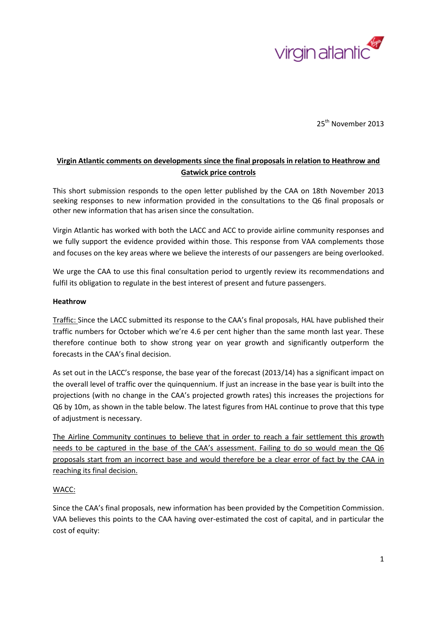

25<sup>th</sup> November 2013

## **Virgin Atlantic comments on developments since the final proposals in relation to Heathrow and Gatwick price controls**

This short submission responds to the open letter published by the CAA on 18th November 2013 seeking responses to new information provided in the consultations to the Q6 final proposals or other new information that has arisen since the consultation.

Virgin Atlantic has worked with both the LACC and ACC to provide airline community responses and we fully support the evidence provided within those. This response from VAA complements those and focuses on the key areas where we believe the interests of our passengers are being overlooked.

We urge the CAA to use this final consultation period to urgently review its recommendations and fulfil its obligation to regulate in the best interest of present and future passengers.

## **Heathrow**

Traffic: Since the LACC submitted its response to the CAA's final proposals, HAL have published their traffic numbers for October which we're 4.6 per cent higher than the same month last year. These therefore continue both to show strong year on year growth and significantly outperform the forecasts in the CAA's final decision.

As set out in the LACC's response, the base year of the forecast (2013/14) has a significant impact on the overall level of traffic over the quinquennium. If just an increase in the base year is built into the projections (with no change in the CAA's projected growth rates) this increases the projections for Q6 by 10m, as shown in the table below. The latest figures from HAL continue to prove that this type of adjustment is necessary.

The Airline Community continues to believe that in order to reach a fair settlement this growth needs to be captured in the base of the CAA's assessment. Failing to do so would mean the Q6 proposals start from an incorrect base and would therefore be a clear error of fact by the CAA in reaching its final decision.

## WACC:

Since the CAA's final proposals, new information has been provided by the Competition Commission. VAA believes this points to the CAA having over-estimated the cost of capital, and in particular the cost of equity: